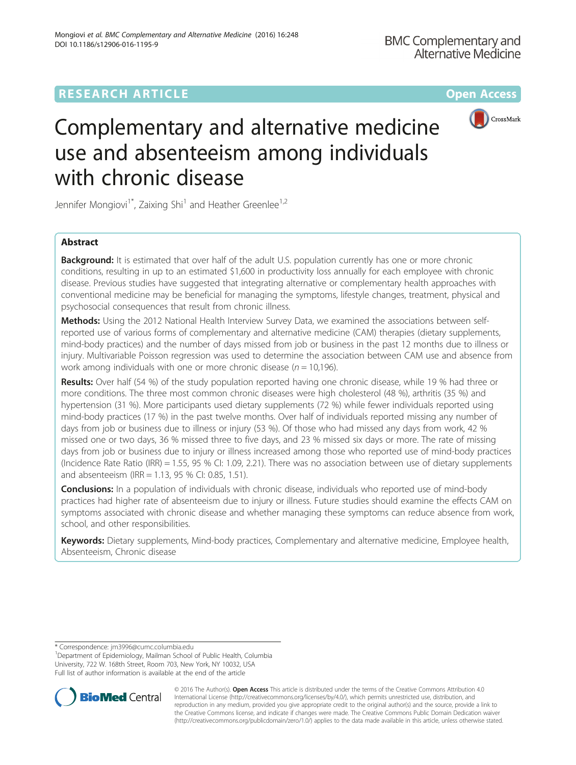## **RESEARCH ARTICLE Example 2014 12:30 The Community Community Community Community Community Community Community**



# Complementary and alternative medicine use and absenteeism among individuals with chronic disease

Jennifer Mongiovi<sup>1\*</sup>, Zaixing Shi<sup>1</sup> and Heather Greenlee<sup>1,2</sup>

## Abstract

**Background:** It is estimated that over half of the adult U.S. population currently has one or more chronic conditions, resulting in up to an estimated \$1,600 in productivity loss annually for each employee with chronic disease. Previous studies have suggested that integrating alternative or complementary health approaches with conventional medicine may be beneficial for managing the symptoms, lifestyle changes, treatment, physical and psychosocial consequences that result from chronic illness.

Methods: Using the 2012 National Health Interview Survey Data, we examined the associations between selfreported use of various forms of complementary and alternative medicine (CAM) therapies (dietary supplements, mind-body practices) and the number of days missed from job or business in the past 12 months due to illness or injury. Multivariable Poisson regression was used to determine the association between CAM use and absence from work among individuals with one or more chronic disease ( $n = 10,196$ ).

Results: Over half (54 %) of the study population reported having one chronic disease, while 19 % had three or more conditions. The three most common chronic diseases were high cholesterol (48 %), arthritis (35 %) and hypertension (31 %). More participants used dietary supplements (72 %) while fewer individuals reported using mind-body practices (17 %) in the past twelve months. Over half of individuals reported missing any number of days from job or business due to illness or injury (53 %). Of those who had missed any days from work, 42 % missed one or two days, 36 % missed three to five days, and 23 % missed six days or more. The rate of missing days from job or business due to injury or illness increased among those who reported use of mind-body practices (Incidence Rate Ratio (IRR) = 1.55, 95 % CI: 1.09, 2.21). There was no association between use of dietary supplements and absenteeism (IRR = 1.13, 95 % CI: 0.85, 1.51).

**Conclusions:** In a population of individuals with chronic disease, individuals who reported use of mind-body practices had higher rate of absenteeism due to injury or illness. Future studies should examine the effects CAM on symptoms associated with chronic disease and whether managing these symptoms can reduce absence from work, school, and other responsibilities.

Keywords: Dietary supplements, Mind-body practices, Complementary and alternative medicine, Employee health, Absenteeism, Chronic disease

<sup>&</sup>lt;sup>1</sup>Department of Epidemiology, Mailman School of Public Health, Columbia University, 722 W. 168th Street, Room 703, New York, NY 10032, USA Full list of author information is available at the end of the article



© 2016 The Author(s). Open Access This article is distributed under the terms of the Creative Commons Attribution 4.0 International License [\(http://creativecommons.org/licenses/by/4.0/](http://creativecommons.org/licenses/by/4.0/)), which permits unrestricted use, distribution, and reproduction in any medium, provided you give appropriate credit to the original author(s) and the source, provide a link to the Creative Commons license, and indicate if changes were made. The Creative Commons Public Domain Dedication waiver [\(http://creativecommons.org/publicdomain/zero/1.0/](http://creativecommons.org/publicdomain/zero/1.0/)) applies to the data made available in this article, unless otherwise stated.

<sup>\*</sup> Correspondence: [jm3996@cumc.columbia.edu](mailto:jm3996@cumc.columbia.edu) <sup>1</sup>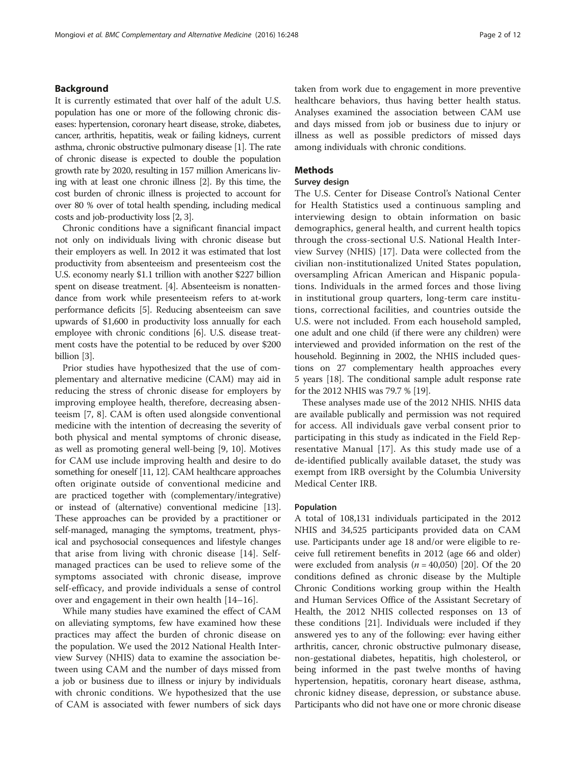## Background

It is currently estimated that over half of the adult U.S. population has one or more of the following chronic diseases: hypertension, coronary heart disease, stroke, diabetes, cancer, arthritis, hepatitis, weak or failing kidneys, current asthma, chronic obstructive pulmonary disease [\[1\]](#page-10-0). The rate of chronic disease is expected to double the population growth rate by 2020, resulting in 157 million Americans living with at least one chronic illness [\[2\]](#page-10-0). By this time, the cost burden of chronic illness is projected to account for over 80 % over of total health spending, including medical costs and job-productivity loss [\[2, 3](#page-10-0)].

Chronic conditions have a significant financial impact not only on individuals living with chronic disease but their employers as well. In 2012 it was estimated that lost productivity from absenteeism and presenteeism cost the U.S. economy nearly \$1.1 trillion with another \$227 billion spent on disease treatment. [\[4\]](#page-10-0). Absenteeism is nonattendance from work while presenteeism refers to at-work performance deficits [\[5](#page-10-0)]. Reducing absenteeism can save upwards of \$1,600 in productivity loss annually for each employee with chronic conditions [\[6\]](#page-10-0). U.S. disease treatment costs have the potential to be reduced by over \$200 billion [[3](#page-10-0)].

Prior studies have hypothesized that the use of complementary and alternative medicine (CAM) may aid in reducing the stress of chronic disease for employers by improving employee health, therefore, decreasing absenteeism [[7, 8](#page-10-0)]. CAM is often used alongside conventional medicine with the intention of decreasing the severity of both physical and mental symptoms of chronic disease, as well as promoting general well-being [[9, 10](#page-10-0)]. Motives for CAM use include improving health and desire to do something for oneself [\[11, 12\]](#page-10-0). CAM healthcare approaches often originate outside of conventional medicine and are practiced together with (complementary/integrative) or instead of (alternative) conventional medicine [[13](#page-10-0)]. These approaches can be provided by a practitioner or self-managed, managing the symptoms, treatment, physical and psychosocial consequences and lifestyle changes that arise from living with chronic disease [\[14](#page-10-0)]. Selfmanaged practices can be used to relieve some of the symptoms associated with chronic disease, improve self-efficacy, and provide individuals a sense of control over and engagement in their own health [\[14](#page-10-0)–[16](#page-11-0)].

While many studies have examined the effect of CAM on alleviating symptoms, few have examined how these practices may affect the burden of chronic disease on the population. We used the 2012 National Health Interview Survey (NHIS) data to examine the association between using CAM and the number of days missed from a job or business due to illness or injury by individuals with chronic conditions. We hypothesized that the use of CAM is associated with fewer numbers of sick days

taken from work due to engagement in more preventive healthcare behaviors, thus having better health status. Analyses examined the association between CAM use and days missed from job or business due to injury or illness as well as possible predictors of missed days among individuals with chronic conditions.

## Methods

## Survey design

The U.S. Center for Disease Control's National Center for Health Statistics used a continuous sampling and interviewing design to obtain information on basic demographics, general health, and current health topics through the cross-sectional U.S. National Health Interview Survey (NHIS) [[17\]](#page-11-0). Data were collected from the civilian non-institutionalized United States population, oversampling African American and Hispanic populations. Individuals in the armed forces and those living in institutional group quarters, long-term care institutions, correctional facilities, and countries outside the U.S. were not included. From each household sampled, one adult and one child (if there were any children) were interviewed and provided information on the rest of the household. Beginning in 2002, the NHIS included questions on 27 complementary health approaches every 5 years [[18](#page-11-0)]. The conditional sample adult response rate for the 2012 NHIS was 79.7 % [\[19](#page-11-0)].

These analyses made use of the 2012 NHIS. NHIS data are available publically and permission was not required for access. All individuals gave verbal consent prior to participating in this study as indicated in the Field Representative Manual [[17\]](#page-11-0). As this study made use of a de-identified publically available dataset, the study was exempt from IRB oversight by the Columbia University Medical Center IRB.

## Population

A total of 108,131 individuals participated in the 2012 NHIS and 34,525 participants provided data on CAM use. Participants under age 18 and/or were eligible to receive full retirement benefits in 2012 (age 66 and older) were excluded from analysis ( $n = 40,050$ ) [[20\]](#page-11-0). Of the 20 conditions defined as chronic disease by the Multiple Chronic Conditions working group within the Health and Human Services Office of the Assistant Secretary of Health, the 2012 NHIS collected responses on 13 of these conditions [\[21](#page-11-0)]. Individuals were included if they answered yes to any of the following: ever having either arthritis, cancer, chronic obstructive pulmonary disease, non-gestational diabetes, hepatitis, high cholesterol, or being informed in the past twelve months of having hypertension, hepatitis, coronary heart disease, asthma, chronic kidney disease, depression, or substance abuse. Participants who did not have one or more chronic disease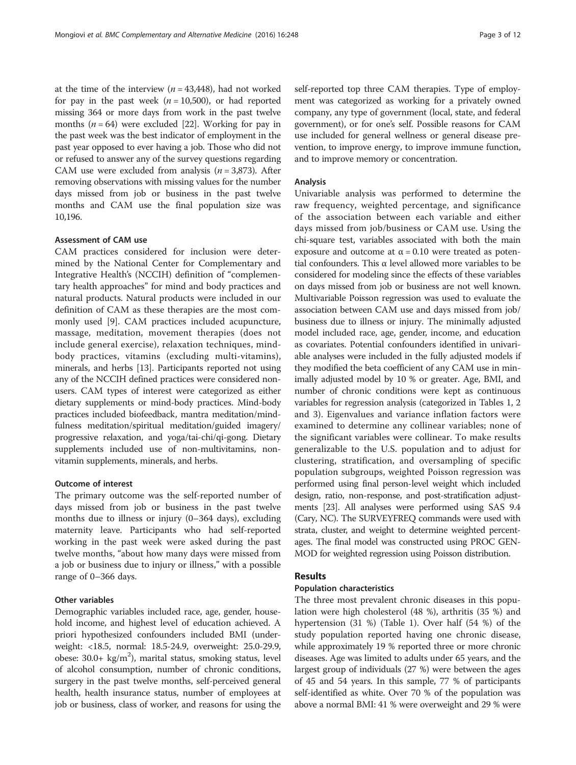at the time of the interview ( $n = 43,448$ ), had not worked for pay in the past week  $(n = 10,500)$ , or had reported missing 364 or more days from work in the past twelve months ( $n = 64$ ) were excluded [\[22\]](#page-11-0). Working for pay in the past week was the best indicator of employment in the past year opposed to ever having a job. Those who did not or refused to answer any of the survey questions regarding CAM use were excluded from analysis  $(n = 3.873)$ . After removing observations with missing values for the number days missed from job or business in the past twelve months and CAM use the final population size was 10,196.

## Assessment of CAM use

CAM practices considered for inclusion were determined by the National Center for Complementary and Integrative Health's (NCCIH) definition of "complementary health approaches" for mind and body practices and natural products. Natural products were included in our definition of CAM as these therapies are the most commonly used [[9\]](#page-10-0). CAM practices included acupuncture, massage, meditation, movement therapies (does not include general exercise), relaxation techniques, mindbody practices, vitamins (excluding multi-vitamins), minerals, and herbs [\[13](#page-10-0)]. Participants reported not using any of the NCCIH defined practices were considered nonusers. CAM types of interest were categorized as either dietary supplements or mind-body practices. Mind-body practices included biofeedback, mantra meditation/mindfulness meditation/spiritual meditation/guided imagery/ progressive relaxation, and yoga/tai-chi/qi-gong. Dietary supplements included use of non-multivitamins, nonvitamin supplements, minerals, and herbs.

### Outcome of interest

The primary outcome was the self-reported number of days missed from job or business in the past twelve months due to illness or injury (0–364 days), excluding maternity leave. Participants who had self-reported working in the past week were asked during the past twelve months, "about how many days were missed from a job or business due to injury or illness," with a possible range of 0–366 days.

## Other variables

Demographic variables included race, age, gender, household income, and highest level of education achieved. A priori hypothesized confounders included BMI (underweight: <18.5, normal: 18.5-24.9, overweight: 25.0-29.9, obese:  $30.0+ kg/m<sup>2</sup>$ ), marital status, smoking status, level of alcohol consumption, number of chronic conditions, surgery in the past twelve months, self-perceived general health, health insurance status, number of employees at job or business, class of worker, and reasons for using the self-reported top three CAM therapies. Type of employment was categorized as working for a privately owned company, any type of government (local, state, and federal government), or for one's self. Possible reasons for CAM use included for general wellness or general disease prevention, to improve energy, to improve immune function, and to improve memory or concentration.

#### Analysis

Univariable analysis was performed to determine the raw frequency, weighted percentage, and significance of the association between each variable and either days missed from job/business or CAM use. Using the chi-square test, variables associated with both the main exposure and outcome at  $\alpha$  = 0.10 were treated as potential confounders. This α level allowed more variables to be considered for modeling since the effects of these variables on days missed from job or business are not well known. Multivariable Poisson regression was used to evaluate the association between CAM use and days missed from job/ business due to illness or injury. The minimally adjusted model included race, age, gender, income, and education as covariates. Potential confounders identified in univariable analyses were included in the fully adjusted models if they modified the beta coefficient of any CAM use in minimally adjusted model by 10 % or greater. Age, BMI, and number of chronic conditions were kept as continuous variables for regression analysis (categorized in Tables [1,](#page-3-0) [2](#page-6-0) and [3\)](#page-8-0). Eigenvalues and variance inflation factors were examined to determine any collinear variables; none of the significant variables were collinear. To make results generalizable to the U.S. population and to adjust for clustering, stratification, and oversampling of specific population subgroups, weighted Poisson regression was performed using final person-level weight which included design, ratio, non-response, and post-stratification adjustments [\[23](#page-11-0)]. All analyses were performed using SAS 9.4 (Cary, NC). The SURVEYFREQ commands were used with strata, cluster, and weight to determine weighted percentages. The final model was constructed using PROC GEN-MOD for weighted regression using Poisson distribution.

## Results

## Population characteristics

The three most prevalent chronic diseases in this population were high cholesterol (48 %), arthritis (35 %) and hypertension (31 %) (Table [1](#page-3-0)). Over half (54 %) of the study population reported having one chronic disease, while approximately 19 % reported three or more chronic diseases. Age was limited to adults under 65 years, and the largest group of individuals (27 %) were between the ages of 45 and 54 years. In this sample, 77 % of participants self-identified as white. Over 70 % of the population was above a normal BMI: 41 % were overweight and 29 % were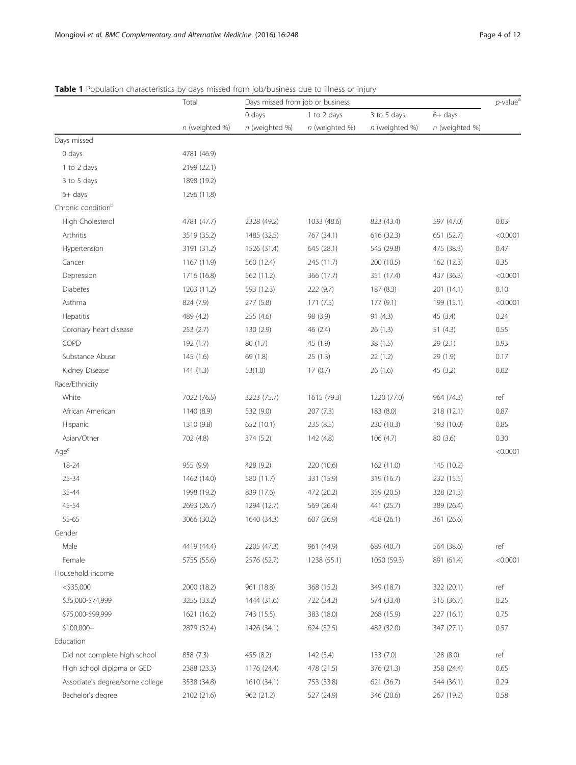|                                 | Total          | Days missed from job or business |                |                |                | $p$ -value <sup>a</sup> |
|---------------------------------|----------------|----------------------------------|----------------|----------------|----------------|-------------------------|
|                                 | n (weighted %) | 0 days                           | 1 to 2 days    | 3 to 5 days    | $6+$ days      |                         |
|                                 |                | n (weighted %)                   | n (weighted %) | n (weighted %) | n (weighted %) |                         |
| Days missed                     |                |                                  |                |                |                |                         |
| 0 days                          | 4781 (46.9)    |                                  |                |                |                |                         |
| 1 to 2 days                     | 2199 (22.1)    |                                  |                |                |                |                         |
| 3 to 5 days                     | 1898 (19.2)    |                                  |                |                |                |                         |
| $6+$ days                       | 1296 (11.8)    |                                  |                |                |                |                         |
| Chronic condition <sup>b</sup>  |                |                                  |                |                |                |                         |
| High Cholesterol                | 4781 (47.7)    | 2328 (49.2)                      | 1033 (48.6)    | 823 (43.4)     | 597 (47.0)     | 0.03                    |
| Arthritis                       | 3519 (35.2)    | 1485 (32.5)                      | 767 (34.1)     | 616 (32.3)     | 651 (52.7)     | < 0.0001                |
| Hypertension                    | 3191 (31.2)    | 1526 (31.4)                      | 645 (28.1)     | 545 (29.8)     | 475 (38.3)     | 0.47                    |
| Cancer                          | 1167 (11.9)    | 560 (12.4)                       | 245 (11.7)     | 200 (10.5)     | 162 (12.3)     | 0.35                    |
| Depression                      | 1716 (16.8)    | 562 (11.2)                       | 366 (17.7)     | 351 (17.4)     | 437 (36.3)     | < 0.0001                |
| Diabetes                        | 1203 (11.2)    | 593 (12.3)                       | 222 (9.7)      | 187(8.3)       | 201 (14.1)     | 0.10                    |
| Asthma                          | 824 (7.9)      | 277 (5.8)                        | 171(7.5)       | 177(9.1)       | 199 (15.1)     | < 0.0001                |
| Hepatitis                       | 489 (4.2)      | 255 (4.6)                        | 98 (3.9)       | 91(4.3)        | 45 (3.4)       | 0.24                    |
| Coronary heart disease          | 253 (2.7)      | 130 (2.9)                        | 46 (2.4)       | 26(1.3)        | 51(4.3)        | 0.55                    |
| COPD                            | 192 (1.7)      | 80(1.7)                          | 45 (1.9)       | 38(1.5)        | 29(2.1)        | 0.93                    |
| Substance Abuse                 | 145(1.6)       | 69 (1.8)                         | 25(1.3)        | 22(1.2)        | 29 (1.9)       | 0.17                    |
| Kidney Disease                  | 141(1.3)       | 53(1.0)                          | 17(0.7)        | 26(1.6)        | 45 (3.2)       | 0.02                    |
| Race/Ethnicity                  |                |                                  |                |                |                |                         |
| White                           | 7022 (76.5)    | 3223 (75.7)                      | 1615 (79.3)    | 1220 (77.0)    | 964 (74.3)     | ref                     |
| African American                | 1140 (8.9)     | 532 (9.0)                        | 207 (7.3)      | 183 (8.0)      | 218 (12.1)     | 0.87                    |
| Hispanic                        | 1310 (9.8)     | 652 (10.1)                       | 235 (8.5)      | 230 (10.3)     | 193 (10.0)     | 0.85                    |
| Asian/Other                     | 702 (4.8)      | 374 (5.2)                        | 142 (4.8)      | 106(4.7)       | 80 (3.6)       | 0.30                    |
| Age <sup>c</sup>                |                |                                  |                |                |                | < 0.0001                |
| 18-24                           | 955 (9.9)      | 428 (9.2)                        | 220 (10.6)     | 162 (11.0)     | 145 (10.2)     |                         |
| $25 - 34$                       | 1462 (14.0)    | 580 (11.7)                       | 331 (15.9)     | 319 (16.7)     | 232 (15.5)     |                         |
| 35-44                           | 1998 (19.2)    | 839 (17.6)                       | 472 (20.2)     | 359 (20.5)     | 328 (21.3)     |                         |
| 45-54                           | 2693 (26.7)    | 1294 (12.7)                      | 569 (26.4)     | 441 (25.7)     | 389 (26.4)     |                         |
| 55-65                           | 3066 (30.2)    | 1640 (34.3)                      | 607 (26.9)     | 458 (26.1)     | 361 (26.6)     |                         |
| Gender                          |                |                                  |                |                |                |                         |
| Male                            | 4419 (44.4)    | 2205 (47.3)                      | 961 (44.9)     | 689 (40.7)     | 564 (38.6)     | ref                     |
| Female                          | 5755 (55.6)    | 2576 (52.7)                      | 1238 (55.1)    | 1050 (59.3)    | 891 (61.4)     | < 0.0001                |
| Household income                |                |                                  |                |                |                |                         |
| $<$ \$35,000                    | 2000 (18.2)    | 961 (18.8)                       | 368 (15.2)     | 349 (18.7)     | 322 (20.1)     | ref                     |
| \$35,000-\$74,999               | 3255 (33.2)    | 1444 (31.6)                      | 722 (34.2)     | 574 (33.4)     | 515 (36.7)     | 0.25                    |
| \$75,000-\$99,999               | 1621 (16.2)    | 743 (15.5)                       | 383 (18.0)     | 268 (15.9)     | 227 (16.1)     | 0.75                    |
| $$100,000+$                     | 2879 (32.4)    | 1426 (34.1)                      | 624 (32.5)     | 482 (32.0)     | 347 (27.1)     | 0.57                    |
| Education                       |                |                                  |                |                |                |                         |
| Did not complete high school    | 858 (7.3)      | 455 (8.2)                        | 142 (5.4)      | 133 (7.0)      | 128 (8.0)      | ref                     |
| High school diploma or GED      | 2388 (23.3)    | 1176 (24.4)                      | 478 (21.5)     | 376 (21.3)     | 358 (24.4)     | 0.65                    |
| Associate's degree/some college | 3538 (34.8)    | 1610 (34.1)                      | 753 (33.8)     | 621 (36.7)     | 544 (36.1)     | 0.29                    |
| Bachelor's degree               | 2102 (21.6)    | 962 (21.2)                       | 527 (24.9)     | 346 (20.6)     | 267 (19.2)     | 0.58                    |

## <span id="page-3-0"></span>Table 1 Population characteristics by days missed from job/business due to illness or injury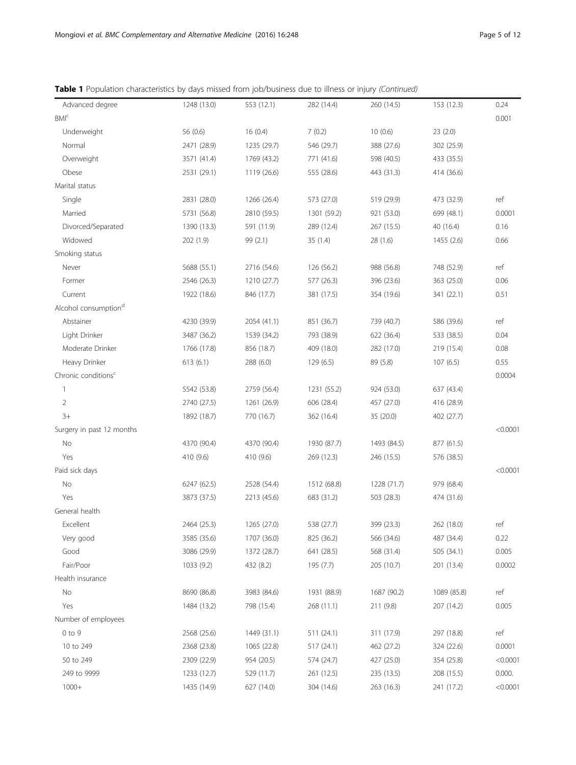| Advanced degree                  | 1248 (13.0) | 553 (12.1)  | 282 (14.4)  | 260 (14.5)  | 153 (12.3)  | 0.24     |
|----------------------------------|-------------|-------------|-------------|-------------|-------------|----------|
| BM <sup>c</sup>                  |             |             |             |             |             | 0.001    |
| Underweight                      | 56 (0.6)    | 16(0.4)     | 7(0.2)      | 10(0.6)     | 23(2.0)     |          |
| Normal                           | 2471 (28.9) | 1235 (29.7) | 546 (29.7)  | 388 (27.6)  | 302 (25.9)  |          |
| Overweight                       | 3571 (41.4) | 1769 (43.2) | 771 (41.6)  | 598 (40.5)  | 433 (35.5)  |          |
| Obese                            | 2531 (29.1) | 1119 (26.6) | 555 (28.6)  | 443 (31.3)  | 414 (36.6)  |          |
| Marital status                   |             |             |             |             |             |          |
| Single                           | 2831 (28.0) | 1266 (26.4) | 573 (27.0)  | 519 (29.9)  | 473 (32.9)  | ref      |
| Married                          | 5731 (56.8) | 2810 (59.5) | 1301 (59.2) | 921 (53.0)  | 699 (48.1)  | 0.0001   |
| Divorced/Separated               | 1390 (13.3) | 591 (11.9)  | 289 (12.4)  | 267 (15.5)  | 40 (16.4)   | 0.16     |
| Widowed                          | 202 (1.9)   | 99 (2.1)    | 35(1.4)     | 28 (1.6)    | 1455 (2.6)  | 0.66     |
| Smoking status                   |             |             |             |             |             |          |
| Never                            | 5688 (55.1) | 2716 (54.6) | 126 (56.2)  | 988 (56.8)  | 748 (52.9)  | ref      |
| Former                           | 2546 (26.3) | 1210 (27.7) | 577 (26.3)  | 396 (23.6)  | 363 (25.0)  | 0.06     |
| Current                          | 1922 (18.6) | 846 (17.7)  | 381 (17.5)  | 354 (19.6)  | 341 (22.1)  | 0.51     |
| Alcohol consumption <sup>d</sup> |             |             |             |             |             |          |
| Abstainer                        | 4230 (39.9) | 2054 (41.1) | 851 (36.7)  | 739 (40.7)  | 586 (39.6)  | ref      |
| Light Drinker                    | 3487 (36.2) | 1539 (34.2) | 793 (38.9)  | 622 (36.4)  | 533 (38.5)  | 0.04     |
| Moderate Drinker                 | 1766 (17.8) | 856 (18.7)  | 409 (18.0)  | 282 (17.0)  | 219 (15.4)  | 0.08     |
| Heavy Drinker                    | 613(6.1)    | 288 (6.0)   | 129(6.5)    | 89 (5.8)    | 107(6.5)    | 0.55     |
| Chronic conditions <sup>c</sup>  |             |             |             |             |             | 0.0004   |
| $\mathbf{1}$                     | 5542 (53.8) | 2759 (56.4) | 1231 (55.2) | 924 (53.0)  | 637 (43.4)  |          |
| $\overline{2}$                   | 2740 (27.5) | 1261 (26.9) | 606 (28.4)  | 457 (27.0)  | 416 (28.9)  |          |
| $3+$                             | 1892 (18.7) | 770 (16.7)  | 362 (16.4)  | 35 (20.0)   | 402 (27.7)  |          |
| Surgery in past 12 months        |             |             |             |             |             | < 0.0001 |
| No                               | 4370 (90.4) | 4370 (90.4) | 1930 (87.7) | 1493 (84.5) | 877 (61.5)  |          |
| Yes                              | 410 (9.6)   | 410 (9.6)   | 269 (12.3)  | 246 (15.5)  | 576 (38.5)  |          |
| Paid sick days                   |             |             |             |             |             | < 0.0001 |
| No                               | 6247 (62.5) | 2528 (54.4) | 1512 (68.8) | 1228 (71.7) | 979 (68.4)  |          |
| Yes                              | 3873 (37.5) | 2213 (45.6) | 683 (31.2)  | 503 (28.3)  | 474 (31.6)  |          |
| General health                   |             |             |             |             |             |          |
| Excellent                        | 2464 (25.3) | 1265 (27.0) | 538 (27.7)  | 399 (23.3)  | 262 (18.0)  | ref      |
| Very good                        | 3585 (35.6) | 1707 (36.0) | 825 (36.2)  | 566 (34.6)  | 487 (34.4)  | 0.22     |
| Good                             | 3086 (29.9) | 1372 (28.7) | 641 (28.5)  | 568 (31.4)  | 505 (34.1)  | 0.005    |
| Fair/Poor                        | 1033(9.2)   | 432 (8.2)   | 195(7.7)    | 205 (10.7)  | 201 (13.4)  | 0.0002   |
| Health insurance                 |             |             |             |             |             |          |
| No                               | 8690 (86.8) | 3983 (84.6) | 1931 (88.9) | 1687 (90.2) | 1089 (85.8) | ref      |
| Yes                              | 1484 (13.2) | 798 (15.4)  | 268 (11.1)  | 211 (9.8)   | 207 (14.2)  | 0.005    |
| Number of employees              |             |             |             |             |             |          |
| $0$ to $9$                       | 2568 (25.6) | 1449 (31.1) | 511 (24.1)  | 311 (17.9)  | 297 (18.8)  | ref      |
| 10 to 249                        | 2368 (23.8) | 1065 (22.8) | 517 (24.1)  | 462 (27.2)  | 324 (22.6)  | 0.0001   |
| 50 to 249                        | 2309 (22.9) | 954 (20.5)  | 574 (24.7)  | 427 (25.0)  | 354 (25.8)  | < 0.0001 |
| 249 to 9999                      | 1233 (12.7) | 529 (11.7)  | 261 (12.5)  | 235 (13.5)  | 208 (15.5)  | 0.000.   |
| $1000+$                          | 1435 (14.9) | 627 (14.0)  | 304 (14.6)  | 263 (16.3)  | 241 (17.2)  | < 0.0001 |

Table 1 Population characteristics by days missed from job/business due to illness or injury (Continued)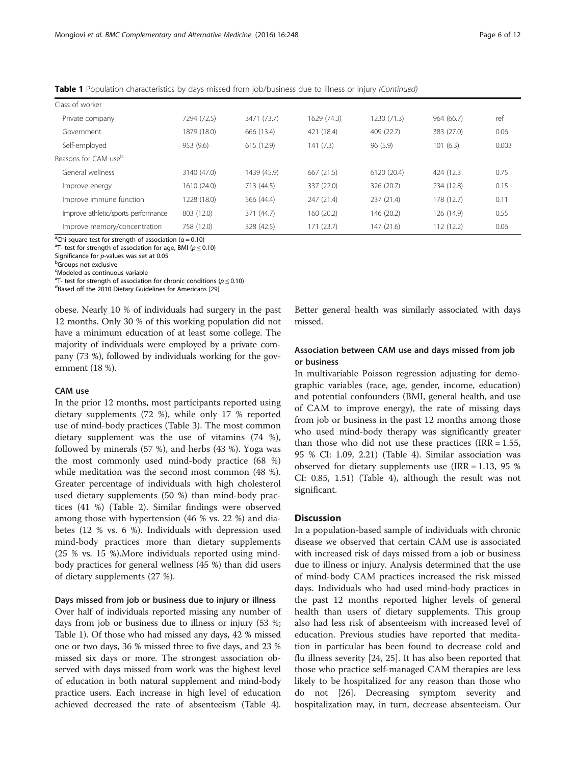| Class of worker                     |             |             |             |             |            |       |
|-------------------------------------|-------------|-------------|-------------|-------------|------------|-------|
| Private company                     | 7294 (72.5) | 3471 (73.7) | 1629 (74.3) | 1230 (71.3) | 964 (66.7) | ref   |
| Government                          | 1879 (18.0) | 666 (13.4)  | 421 (18.4)  | 409 (22.7)  | 383 (27.0) | 0.06  |
| Self-employed                       | 953 (9.6)   | 615 (12.9)  | 141(7.3)    | 96(5.9)     | 101(6.3)   | 0.003 |
| Reasons for CAM use <sup>b</sup>    |             |             |             |             |            |       |
| General wellness                    | 3140 (47.0) | 1439 (45.9) | 667(21.5)   | 6120 (20.4) | 424 (12.3  | 0.75  |
| Improve energy                      | 1610 (24.0) | 713 (44.5)  | 337 (22.0)  | 326 (20.7)  | 234 (12.8) | 0.15  |
| Improve immune function             | 1228 (18.0) | 566 (44.4)  | 247 (21.4)  | 237 (21.4)  | 178 (12.7) | 0.11  |
| Improve athletic/sports performance | 803 (12.0)  | 371 (44.7)  | 160(20.2)   | 146 (20.2)  | 126 (14.9) | 0.55  |
| Improve memory/concentration        | 758 (12.0)  | 328 (42.5)  | 171(23.7)   | 147 (21.6)  | 112(12.2)  | 0.06  |

Table 1 Population characteristics by days missed from job/business due to illness or injury (Continued)

 $a^2$ Chi-square test for strength of association ( $\alpha = 0.10$ )<br> $a^2$ T<sub>r</sub> test for strength of association for age RMI ( $a < 0$ 

<sup>a</sup>T- test for strength of association for age, BMI ( $p \le 0.10$ )

Significance for  $p$ -values was set at 0.05

<sup>b</sup>Groups not exclusive

<sup>c</sup>Modeled as continuous variable

<sup>a</sup>T- test for strength of association for chronic conditions ( $p$  ≤ 0.10)<sup>d</sup>Based off the 2010 Dietary Guidelines for Americans [29]

dBased off the 2010 Dietary Guidelines for Americans [[29](#page-11-0)]

obese. Nearly 10 % of individuals had surgery in the past 12 months. Only 30 % of this working population did not have a minimum education of at least some college. The majority of individuals were employed by a private company (73 %), followed by individuals working for the government (18 %).

## CAM use

In the prior 12 months, most participants reported using dietary supplements (72 %), while only 17 % reported use of mind-body practices (Table [3\)](#page-8-0). The most common dietary supplement was the use of vitamins (74 %), followed by minerals (57 %), and herbs (43 %). Yoga was the most commonly used mind-body practice (68 %) while meditation was the second most common (48 %). Greater percentage of individuals with high cholesterol used dietary supplements (50 %) than mind-body practices (41 %) (Table [2](#page-6-0)). Similar findings were observed among those with hypertension (46 % vs. 22 %) and diabetes (12 % vs. 6 %). Individuals with depression used mind-body practices more than dietary supplements (25 % vs. 15 %).More individuals reported using mindbody practices for general wellness (45 %) than did users of dietary supplements (27 %).

## Days missed from job or business due to injury or illness

Over half of individuals reported missing any number of days from job or business due to illness or injury (53 %; Table [1](#page-3-0)). Of those who had missed any days, 42 % missed one or two days, 36 % missed three to five days, and 23 % missed six days or more. The strongest association observed with days missed from work was the highest level of education in both natural supplement and mind-body practice users. Each increase in high level of education achieved decreased the rate of absenteeism (Table [4](#page-9-0)). Better general health was similarly associated with days missed.

## Association between CAM use and days missed from job or business

In multivariable Poisson regression adjusting for demographic variables (race, age, gender, income, education) and potential confounders (BMI, general health, and use of CAM to improve energy), the rate of missing days from job or business in the past 12 months among those who used mind-body therapy was significantly greater than those who did not use these practices (IRR  $= 1.55$ , 95 % CI: 1.09, 2.21) (Table [4\)](#page-9-0). Similar association was observed for dietary supplements use (IRR = 1.13, 95 % CI: 0.85, 1.51) (Table [4\)](#page-9-0), although the result was not significant.

## **Discussion**

In a population-based sample of individuals with chronic disease we observed that certain CAM use is associated with increased risk of days missed from a job or business due to illness or injury. Analysis determined that the use of mind-body CAM practices increased the risk missed days. Individuals who had used mind-body practices in the past 12 months reported higher levels of general health than users of dietary supplements. This group also had less risk of absenteeism with increased level of education. Previous studies have reported that meditation in particular has been found to decrease cold and flu illness severity [[24, 25\]](#page-11-0). It has also been reported that those who practice self-managed CAM therapies are less likely to be hospitalized for any reason than those who do not [[26\]](#page-11-0). Decreasing symptom severity and hospitalization may, in turn, decrease absenteeism. Our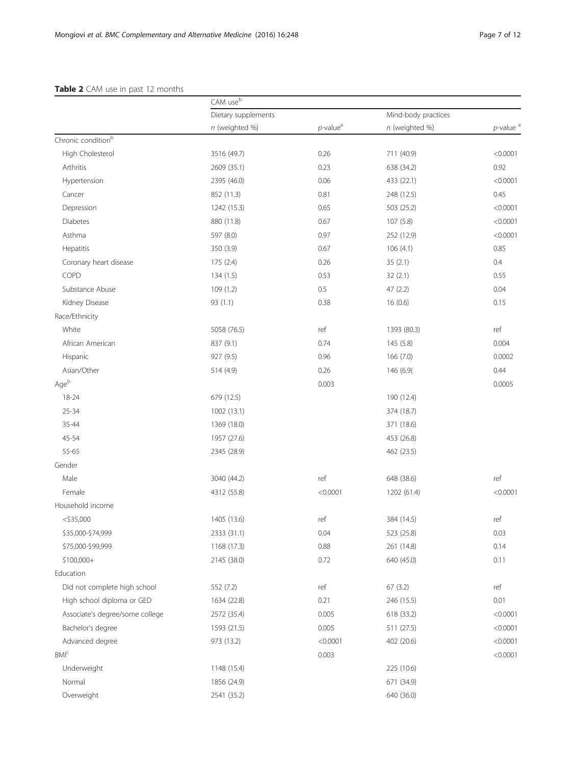## <span id="page-6-0"></span>Table 2 CAM use in past 12 months

|                                 | CAM use <sup>b</sup> |                         |                     |                         |  |
|---------------------------------|----------------------|-------------------------|---------------------|-------------------------|--|
|                                 | Dietary supplements  |                         | Mind-body practices |                         |  |
|                                 | n (weighted %)       | $p$ -value <sup>a</sup> | n (weighted %)      | $p$ -value <sup>a</sup> |  |
| Chronic condition <sup>b</sup>  |                      |                         |                     |                         |  |
| High Cholesterol                | 3516 (49.7)          | 0.26                    | 711 (40.9)          | < 0.0001                |  |
| Arthritis                       | 2609 (35.1)          | 0.23                    | 638 (34.2)          | 0.92                    |  |
| Hypertension                    | 2395 (46.0)          | 0.06                    | 433 (22.1)          | < 0.0001                |  |
| Cancer                          | 852 (11.3)           | 0.81                    | 248 (12.5)          | 0.45                    |  |
| Depression                      | 1242 (15.3)          | 0.65                    | 503 (25.2)          | < 0.0001                |  |
| <b>Diabetes</b>                 | 880 (11.8)           | 0.67                    | 107(5.8)            | < 0.0001                |  |
| Asthma                          | 597 (8.0)            | 0.97                    | 252 (12.9)          | < 0.0001                |  |
| Hepatitis                       | 350 (3.9)            | 0.67                    | 106(4.1)            | 0.85                    |  |
| Coronary heart disease          | 175(2.4)             | 0.26                    | 35(2.1)             | 0.4                     |  |
| COPD                            | 134(1.5)             | 0.53                    | 32(2.1)             | 0.55                    |  |
| Substance Abuse                 | 109 (1.2)            | $0.5\,$                 | 47(2.2)             | 0.04                    |  |
| Kidney Disease                  | 93 (1.1)             | 0.38                    | 16(0.6)             | 0.15                    |  |
| Race/Ethnicity                  |                      |                         |                     |                         |  |
| White                           | 5058 (76.5)          | ref                     | 1393 (80.3)         | ref                     |  |
| African American                | 837 (9.1)            | 0.74                    | 145(5.8)            | 0.004                   |  |
| Hispanic                        | 927 (9.5)            | 0.96                    | 166 (7.0)           | 0.0002                  |  |
| Asian/Other                     | 514 (4.9)            | 0.26                    | 146 (6.9)           | 0.44                    |  |
| Ageb                            |                      | 0.003                   |                     | 0.0005                  |  |
| 18-24                           | 679 (12.5)           |                         | 190 (12.4)          |                         |  |
| 25-34                           | 1002 (13.1)          |                         | 374 (18.7)          |                         |  |
| 35-44                           | 1369 (18.0)          |                         | 371 (18.6)          |                         |  |
| 45-54                           | 1957 (27.6)          |                         | 453 (26.8)          |                         |  |
| 55-65                           | 2345 (28.9)          |                         | 462 (23.5)          |                         |  |
| Gender                          |                      |                         |                     |                         |  |
| Male                            | 3040 (44.2)          | ref                     | 648 (38.6)          | ref                     |  |
| Female                          | 4312 (55.8)          | < 0.0001                | 1202 (61.4)         | < 0.0001                |  |
| Household income                |                      |                         |                     |                         |  |
| $<$ \$35,000                    | 1405 (13.6)          | ref                     | 384 (14.5)          | ref                     |  |
| \$35,000-\$74,999               | 2333 (31.1)          | 0.04                    | 523 (25.8)          | 0.03                    |  |
| \$75,000-\$99,999               | 1168 (17.3)          | 0.88                    | 261 (14.8)          | 0.14                    |  |
| \$100,000+                      | 2145 (38.0)          | 0.72                    | 640 (45.0)          | 0.11                    |  |
| Education                       |                      |                         |                     |                         |  |
| Did not complete high school    | 552 (7.2)            | ref                     | 67(3.2)             | ref                     |  |
| High school diploma or GED      | 1634 (22.8)          | 0.21                    | 246 (15.5)          | 0.01                    |  |
| Associate's degree/some college | 2572 (35.4)          | 0.005                   | 618 (33.2)          | < 0.0001                |  |
| Bachelor's degree               | 1593 (21.5)          | 0.005                   | 511 (27.5)          | < 0.0001                |  |
| Advanced degree                 | 973 (13.2)           | < 0.0001                | 402 (20.6)          | < 0.0001                |  |
| BM <sup>c</sup>                 |                      | 0.003                   |                     | < 0.0001                |  |
| Underweight                     | 1148 (15.4)          |                         | 225 (10.6)          |                         |  |
| Normal                          | 1856 (24.9)          |                         | 671 (34.9)          |                         |  |
| Overweight                      | 2541 (35.2)          |                         | 640 (36.0)          |                         |  |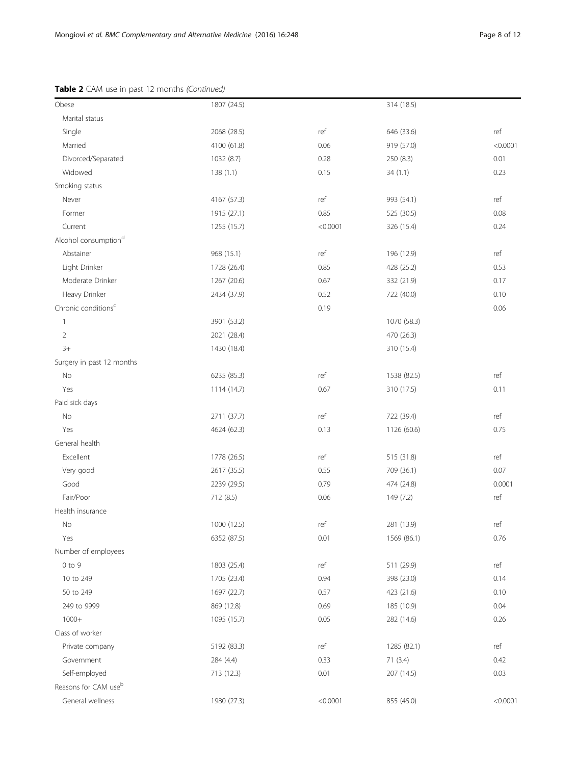Table 2 CAM use in past 12 months (Continued)

| Obese                            | 1807 (24.5) |          | 314 (18.5)  |          |
|----------------------------------|-------------|----------|-------------|----------|
| Marital status                   |             |          |             |          |
| Single                           | 2068 (28.5) | ref      | 646 (33.6)  | ref      |
| Married                          | 4100 (61.8) | 0.06     | 919 (57.0)  | < 0.0001 |
| Divorced/Separated               | 1032 (8.7)  | 0.28     | 250 (8.3)   | 0.01     |
| Widowed                          | 138(1.1)    | 0.15     | 34(1.1)     | 0.23     |
| Smoking status                   |             |          |             |          |
| Never                            | 4167 (57.3) | ref      | 993 (54.1)  | ref      |
| Former                           | 1915 (27.1) | 0.85     | 525 (30.5)  | 0.08     |
| Current                          | 1255 (15.7) | < 0.0001 | 326 (15.4)  | 0.24     |
| Alcohol consumption <sup>d</sup> |             |          |             |          |
| Abstainer                        | 968 (15.1)  | ref      | 196 (12.9)  | ref      |
| Light Drinker                    | 1728 (26.4) | 0.85     | 428 (25.2)  | 0.53     |
| Moderate Drinker                 | 1267 (20.6) | 0.67     | 332 (21.9)  | 0.17     |
| Heavy Drinker                    | 2434 (37.9) | 0.52     | 722 (40.0)  | 0.10     |
| Chronic conditions <sup>c</sup>  |             | 0.19     |             | 0.06     |
| $\mathbf{1}$                     | 3901 (53.2) |          | 1070 (58.3) |          |
| $\overline{2}$                   | 2021 (28.4) |          | 470 (26.3)  |          |
| $3+$                             | 1430 (18.4) |          | 310 (15.4)  |          |
| Surgery in past 12 months        |             |          |             |          |
| No                               | 6235 (85.3) | ref      | 1538 (82.5) | ref      |
| Yes                              | 1114 (14.7) | 0.67     | 310 (17.5)  | 0.11     |
| Paid sick days                   |             |          |             |          |
| No                               | 2711 (37.7) | ref      | 722 (39.4)  | ref      |
| Yes                              | 4624 (62.3) | 0.13     | 1126 (60.6) | 0.75     |
| General health                   |             |          |             |          |
| Excellent                        | 1778 (26.5) | ref      | 515 (31.8)  | ref      |
| Very good                        | 2617 (35.5) | 0.55     | 709 (36.1)  | 0.07     |
| Good                             | 2239 (29.5) | 0.79     | 474 (24.8)  | 0.0001   |
| Fair/Poor                        | 712 (8.5)   | 0.06     | 149 (7.2)   | ref      |
| Health insurance                 |             |          |             |          |
| No                               | 1000 (12.5) | ref      | 281 (13.9)  | ref      |
| Yes                              | 6352 (87.5) | 0.01     | 1569 (86.1) | 0.76     |
| Number of employees              |             |          |             |          |
| $0$ to $9$                       | 1803 (25.4) | ref      | 511 (29.9)  | ref      |
| 10 to 249                        | 1705 (23.4) | 0.94     | 398 (23.0)  | 0.14     |
| 50 to 249                        | 1697 (22.7) | 0.57     | 423 (21.6)  | 0.10     |
| 249 to 9999                      | 869 (12.8)  | 0.69     | 185 (10.9)  | 0.04     |
| $1000+$                          | 1095 (15.7) | 0.05     | 282 (14.6)  | 0.26     |
| Class of worker                  |             |          |             |          |
| Private company                  | 5192 (83.3) | ref      | 1285 (82.1) | ref      |
| Government                       | 284 (4.4)   | 0.33     | 71(3.4)     | 0.42     |
| Self-employed                    | 713 (12.3)  | 0.01     | 207 (14.5)  | 0.03     |
| Reasons for CAM use <sup>b</sup> |             |          |             |          |
| General wellness                 | 1980 (27.3) | < 0.0001 | 855 (45.0)  | < 0.0001 |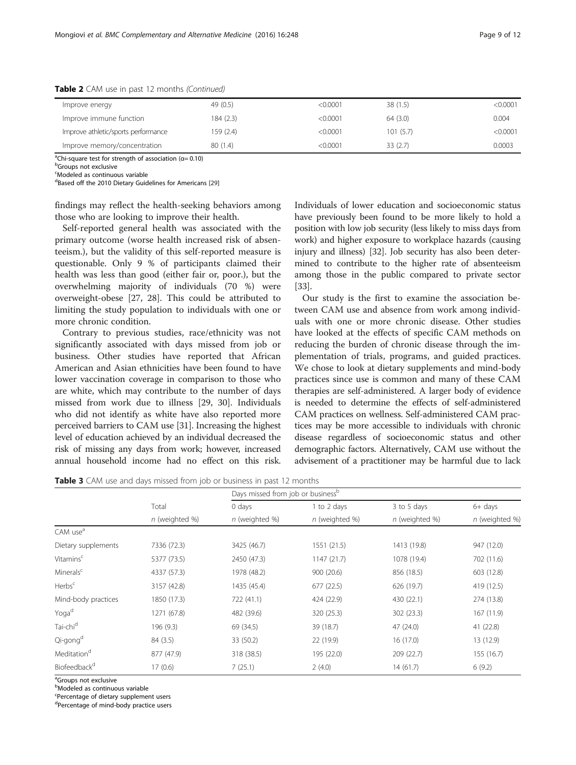| Improve energy                      | 49 (0.5)  | <0.0001  | 38(1.5)  | < 0.0001 |
|-------------------------------------|-----------|----------|----------|----------|
| Improve immune function             | 184 (2.3) | < 0.0001 | 64(3.0)  | 0.004    |
| Improve athletic/sports performance | 159(2.4)  | < 0.0001 | 101(5.7) | < 0.0001 |
| Improve memory/concentration        | 80(1,4)   | < 0.0001 | 33(2.7)  | 0.0003   |

<span id="page-8-0"></span>Table 2 CAM use in past 12 months (Continued)

<sup>a</sup>Chi-square test for strength of association (α= 0.10) b  $\overline{C}$ 

**bGroups not exclusive** 

<sup>c</sup>Modeled as continuous variable

<sup>d</sup>Based off the 2010 Dietary Guidelines for Americans [[29](#page-11-0)]

findings may reflect the health-seeking behaviors among those who are looking to improve their health.

Self-reported general health was associated with the primary outcome (worse health increased risk of absenteeism.), but the validity of this self-reported measure is questionable. Only 9 % of participants claimed their health was less than good (either fair or, poor.), but the overwhelming majority of individuals (70 %) were overweight-obese [[27](#page-11-0), [28](#page-11-0)]. This could be attributed to limiting the study population to individuals with one or more chronic condition.

Contrary to previous studies, race/ethnicity was not significantly associated with days missed from job or business. Other studies have reported that African American and Asian ethnicities have been found to have lower vaccination coverage in comparison to those who are white, which may contribute to the number of days missed from work due to illness [\[29, 30](#page-11-0)]. Individuals who did not identify as white have also reported more perceived barriers to CAM use [\[31](#page-11-0)]. Increasing the highest level of education achieved by an individual decreased the risk of missing any days from work; however, increased annual household income had no effect on this risk. Individuals of lower education and socioeconomic status have previously been found to be more likely to hold a position with low job security (less likely to miss days from work) and higher exposure to workplace hazards (causing injury and illness) [\[32\]](#page-11-0). Job security has also been determined to contribute to the higher rate of absenteeism among those in the public compared to private sector [[33](#page-11-0)].

Our study is the first to examine the association between CAM use and absence from work among individuals with one or more chronic disease. Other studies have looked at the effects of specific CAM methods on reducing the burden of chronic disease through the implementation of trials, programs, and guided practices. We chose to look at dietary supplements and mind-body practices since use is common and many of these CAM therapies are self-administered. A larger body of evidence is needed to determine the effects of self-administered CAM practices on wellness. Self-administered CAM practices may be more accessible to individuals with chronic disease regardless of socioeconomic status and other demographic factors. Alternatively, CAM use without the advisement of a practitioner may be harmful due to lack

Table 3 CAM use and days missed from job or business in past 12 months

|                          |                |                | Days missed from job or business <sup>b</sup> |                |                |  |  |
|--------------------------|----------------|----------------|-----------------------------------------------|----------------|----------------|--|--|
|                          | Total          | $0$ days       | 1 to 2 days                                   | 3 to 5 days    | $6+$ days      |  |  |
|                          | n (weighted %) | n (weighted %) | n (weighted %)                                | n (weighted %) | n (weighted %) |  |  |
| CAM use <sup>a</sup>     |                |                |                                               |                |                |  |  |
| Dietary supplements      | 7336 (72.3)    | 3425 (46.7)    | 1551 (21.5)                                   | 1413 (19.8)    | 947 (12.0)     |  |  |
| Vitamins <sup>c</sup>    | 5377 (73.5)    | 2450 (47.3)    | 1147(21.7)                                    | 1078 (19.4)    | 702 (11.6)     |  |  |
| Minerals <sup>c</sup>    | 4337 (57.3)    | 1978 (48.2)    | 900 (20.6)                                    | 856 (18.5)     | 603 (12.8)     |  |  |
| Herbs <sup>c</sup>       | 3157 (42.8)    | 1435 (45.4)    | 677 (22.5)                                    | 626 (19.7)     | 419 (12.5)     |  |  |
| Mind-body practices      | 1850 (17.3)    | 722 (41.1)     | 424 (22.9)                                    | 430 (22.1)     | 274 (13.8)     |  |  |
| Yoga <sup>d</sup>        | 1271 (67.8)    | 482 (39.6)     | 320 (25.3)                                    | 302 (23.3)     | 167 (11.9)     |  |  |
| Tai-chi <sup>d</sup>     | 196 (9.3)      | 69 (34.5)      | 39 (18.7)                                     | 47 (24.0)      | 41 (22.8)      |  |  |
| Qi-gong <sup>d</sup>     | 84 (3.5)       | 33 (50.2)      | 22 (19.9)                                     | 16(17.0)       | 13 (12.9)      |  |  |
| Meditation <sup>d</sup>  | 877 (47.9)     | 318 (38.5)     | 195 (22.0)                                    | 209 (22.7)     | 155 (16.7)     |  |  |
| Biofeedback <sup>d</sup> | 17(0.6)        | 7(25.1)        | 2(4.0)                                        | 14(61.7)       | 6(9.2)         |  |  |

<sup>a</sup>Groups not exclusive

**b**Modeled as continuous variable

<sup>c</sup>Percentage of dietary supplement users

dPercentage of mind-body practice users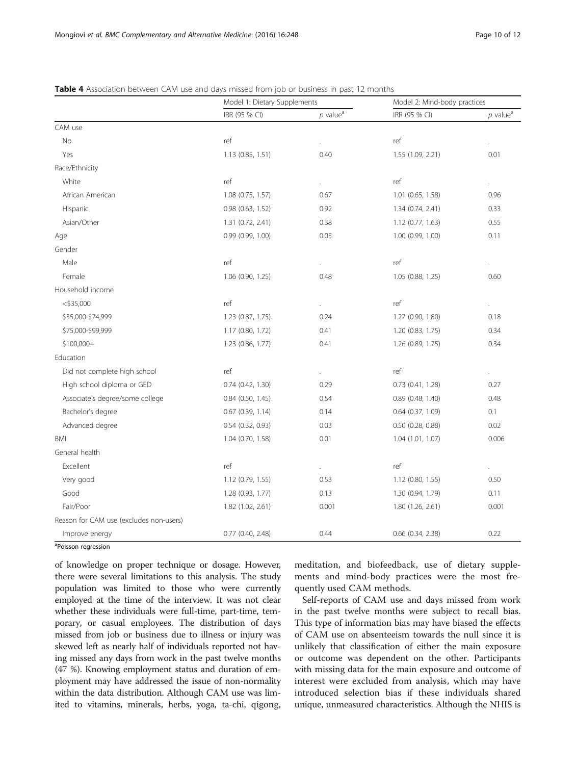|                                         | Model 1: Dietary Supplements |                        | Model 2: Mind-body practices |                        |  |
|-----------------------------------------|------------------------------|------------------------|------------------------------|------------------------|--|
|                                         | IRR (95 % CI)                | $p$ value <sup>a</sup> | IRR (95 % CI)                | $p$ value <sup>a</sup> |  |
| CAM use                                 |                              |                        |                              |                        |  |
| No                                      | ref                          | $\ddot{\phantom{a}}$   | ref                          | $\cdot$                |  |
| Yes                                     | 1.13 (0.85, 1.51)            | 0.40                   | 1.55 (1.09, 2.21)            | 0.01                   |  |
| Race/Ethnicity                          |                              |                        |                              |                        |  |
| White                                   | ref                          | $\cdot$                | ref                          | $\cdot$                |  |
| African American                        | 1.08 (0.75, 1.57)            | 0.67                   | 1.01 (0.65, 1.58)            | 0.96                   |  |
| Hispanic                                | 0.98 (0.63, 1.52)            | 0.92                   | 1.34 (0.74, 2.41)            | 0.33                   |  |
| Asian/Other                             | 1.31 (0.72, 2.41)            | 0.38                   | $1.12$ (0.77, 1.63)          | 0.55                   |  |
| Age                                     | 0.99 (0.99, 1.00)            | 0.05                   | 1.00 (0.99, 1.00)            | 0.11                   |  |
| Gender                                  |                              |                        |                              |                        |  |
| Male                                    | ref                          | $\cdot$                | ref                          |                        |  |
| Female                                  | 1.06 (0.90, 1.25)            | 0.48                   | 1.05 (0.88, 1.25)            | 0.60                   |  |
| Household income                        |                              |                        |                              |                        |  |
| $<$ \$35,000                            | ref                          |                        | ref                          |                        |  |
| \$35,000-\$74,999                       | 1.23 (0.87, 1.75)            | 0.24                   | 1.27 (0.90, 1.80)            | 0.18                   |  |
| \$75,000-\$99,999                       | 1.17 (0.80, 1.72)            | 0.41                   | 1.20 (0.83, 1.75)            | 0.34                   |  |
| $$100,000+$                             | 1.23 (0.86, 1.77)            | 0.41                   | 1.26 (0.89, 1.75)            | 0.34                   |  |
| Education                               |                              |                        |                              |                        |  |
| Did not complete high school            | ref                          |                        | ref                          |                        |  |
| High school diploma or GED              | $0.74$ $(0.42, 1.30)$        | 0.29                   | $0.73$ $(0.41, 1.28)$        | 0.27                   |  |
| Associate's degree/some college         | $0.84$ (0.50, 1.45)          | 0.54                   | $0.89$ (0.48, 1.40)          | 0.48                   |  |
| Bachelor's degree                       | $0.67$ (0.39, 1.14)          | 0.14                   | $0.64$ $(0.37, 1.09)$        | 0.1                    |  |
| Advanced degree                         | 0.54 (0.32, 0.93)            | 0.03                   | 0.50 (0.28, 0.88)            | 0.02                   |  |
| BMI                                     | 1.04 (0.70, 1.58)            | 0.01                   | 1.04 (1.01, 1.07)            | 0.006                  |  |
| General health                          |                              |                        |                              |                        |  |
| Excellent                               | ref                          |                        | ref                          |                        |  |
| Very good                               | 1.12 (0.79, 1.55)            | 0.53                   | $1.12$ (0.80, 1.55)          | 0.50                   |  |
| Good                                    | 1.28 (0.93, 1.77)            | 0.13                   | 1.30 (0.94, 1.79)            | 0.11                   |  |
| Fair/Poor                               | 1.82 (1.02, 2.61)            | 0.001                  | 1.80 (1.26, 2.61)            | 0.001                  |  |
| Reason for CAM use (excludes non-users) |                              |                        |                              |                        |  |
| Improve energy                          | $0.77$ $(0.40, 2.48)$        | 0.44                   | $0.66$ $(0.34, 2.38)$        | 0.22                   |  |

<span id="page-9-0"></span>

| <b>Table 4</b> Association between CAM use and days missed from job or business in past 12 months |  |  |  |
|---------------------------------------------------------------------------------------------------|--|--|--|
|---------------------------------------------------------------------------------------------------|--|--|--|

<sup>a</sup>Poisson regression

of knowledge on proper technique or dosage. However, there were several limitations to this analysis. The study population was limited to those who were currently employed at the time of the interview. It was not clear whether these individuals were full-time, part-time, temporary, or casual employees. The distribution of days missed from job or business due to illness or injury was skewed left as nearly half of individuals reported not having missed any days from work in the past twelve months (47 %). Knowing employment status and duration of employment may have addressed the issue of non-normality within the data distribution. Although CAM use was limited to vitamins, minerals, herbs, yoga, ta-chi, qigong,

meditation, and biofeedback, use of dietary supplements and mind-body practices were the most frequently used CAM methods.

Self-reports of CAM use and days missed from work in the past twelve months were subject to recall bias. This type of information bias may have biased the effects of CAM use on absenteeism towards the null since it is unlikely that classification of either the main exposure or outcome was dependent on the other. Participants with missing data for the main exposure and outcome of interest were excluded from analysis, which may have introduced selection bias if these individuals shared unique, unmeasured characteristics. Although the NHIS is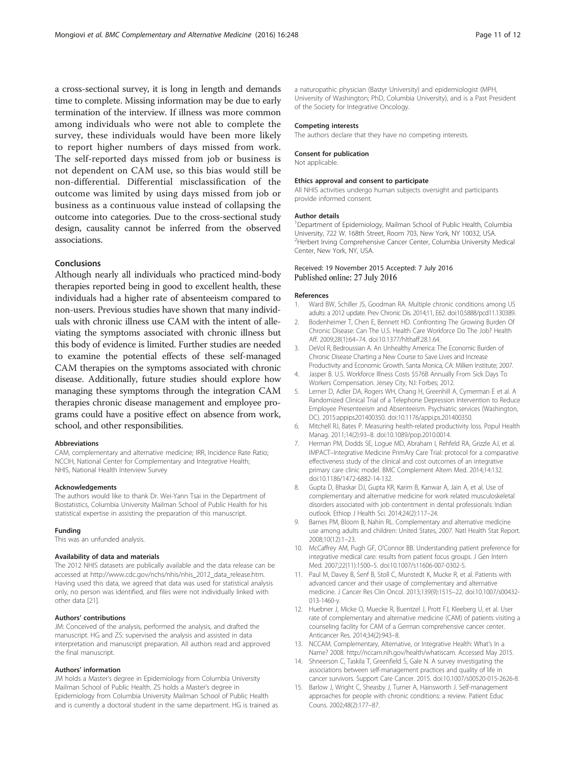<span id="page-10-0"></span>a cross-sectional survey, it is long in length and demands time to complete. Missing information may be due to early termination of the interview. If illness was more common among individuals who were not able to complete the survey, these individuals would have been more likely to report higher numbers of days missed from work. The self-reported days missed from job or business is not dependent on CAM use, so this bias would still be non-differential. Differential misclassification of the outcome was limited by using days missed from job or business as a continuous value instead of collapsing the outcome into categories. Due to the cross-sectional study design, causality cannot be inferred from the observed associations.

## Conclusions

Although nearly all individuals who practiced mind-body therapies reported being in good to excellent health, these individuals had a higher rate of absenteeism compared to non-users. Previous studies have shown that many individuals with chronic illness use CAM with the intent of alleviating the symptoms associated with chronic illness but this body of evidence is limited. Further studies are needed to examine the potential effects of these self-managed CAM therapies on the symptoms associated with chronic disease. Additionally, future studies should explore how managing these symptoms through the integration CAM therapies chronic disease management and employee programs could have a positive effect on absence from work, school, and other responsibilities.

#### Abbreviations

CAM, complementary and alternative medicine; IRR, Incidence Rate Ratio; NCCIH, National Center for Complementary and Integrative Health; NHIS, National Health Interview Survey

#### Acknowledgements

The authors would like to thank Dr. Wei-Yann Tsai in the Department of Biostatistics, Columbia University Mailman School of Public Health for his statistical expertise in assisting the preparation of this manuscript.

#### Funding

This was an unfunded analysis.

## Availability of data and materials

The 2012 NHIS datasets are publically available and the data release can be accessed at [http://www.cdc.gov/nchs/nhis/nhis\\_2012\\_data\\_release.htm](http://www.cdc.gov/nchs/nhis/nhis_2012_data_release.htm). Having used this data, we agreed that data was used for statistical analysis only, no person was identified, and files were not individually linked with other data [\[21](#page-11-0)].

## Authors' contributions

JM: Conceived of the analysis, performed the analysis, and drafted the manuscript. HG and ZS: supervised the analysis and assisted in data interpretation and manuscript preparation. All authors read and approved the final manuscript.

#### Authors' information

JM holds a Master's degree in Epidemiology from Columbia University Mailman School of Public Health. ZS holds a Master's degree in Epidemiology from Columbia University Mailman School of Public Health and is currently a doctoral student in the same department. HG is trained as a naturopathic physician (Bastyr University) and epidemiologist (MPH, University of Washington; PhD, Columbia University), and is a Past President of the Society for Integrative Oncology.

## Competing interests

The authors declare that they have no competing interests.

#### Consent for publication

Not applicable.

#### Ethics approval and consent to participate

All NHIS activities undergo human subjects oversight and participants provide informed consent.

#### Author details

<sup>1</sup>Department of Epidemiology, Mailman School of Public Health, Columbia University, 722 W. 168th Street, Room 703, New York, NY 10032, USA. <sup>2</sup>Herbert Irving Comprehensive Cancer Center, Columbia University Medical Center, New York, NY, USA.

## Received: 19 November 2015 Accepted: 7 July 2016 Published online: 27 July 2016

#### References

- Ward BW, Schiller JS, Goodman RA. Multiple chronic conditions among US adults: a 2012 update. Prev Chronic Dis. 2014;11, E62. doi[:10.5888/pcd11.130389](http://dx.doi.org/10.5888/pcd11.130389).
- 2. Bodenheimer T, Chen E, Bennett HD. Confronting The Growing Burden Of Chronic Disease: Can The U.S. Health Care Workforce Do The Job? Health Aff. 2009;28(1):64–74. doi:[10.1377/hlthaff.28.1.64.](http://dx.doi.org/10.1377/hlthaff.28.1.64)
- 3. DeVol R, Bedroussian A. An Unhealthy America: The Economic Burden of Chronic Disease Charting a New Course to Save Lives and Increase Productivity and Economic Growth. Santa Monica, CA: Milken Institute; 2007.
- 4. Jasper B. U.S. Workforce Illness Costs \$576B Annually From Sick Days To Workers Compensation. Jersey City, NJ: Forbes; 2012.
- 5. Lerner D, Adler DA, Rogers WH, Chang H, Greenhill A, Cymerman E et al. A Randomized Clinical Trial of a Telephone Depression Intervention to Reduce Employee Presenteeism and Absenteeism. Psychiatric services (Washington, DC). 2015:appips201400350. doi:[10.1176/appi.ps.201400350.](http://dx.doi.org/10.1176/appi.ps.201400350)
- 6. Mitchell RJ, Bates P. Measuring health-related productivity loss. Popul Health Manag. 2011;14(2):93–8. doi:[10.1089/pop.2010.0014](http://dx.doi.org/10.1089/pop.2010.0014).
- 7. Herman PM, Dodds SE, Logue MD, Abraham I, Rehfeld RA, Grizzle AJ, et al. IMPACT–Integrative Medicine PrimAry Care Trial: protocol for a comparative effectiveness study of the clinical and cost outcomes of an integrative primary care clinic model. BMC Complement Altern Med. 2014;14:132. doi[:10.1186/1472-6882-14-132.](http://dx.doi.org/10.1186/1472-6882-14-132)
- 8. Gupta D, Bhaskar DJ, Gupta KR, Karim B, Kanwar A, Jain A, et al. Use of complementary and alternative medicine for work related musculoskeletal disorders associated with job contentment in dental professionals: Indian outlook. Ethiop J Health Sci. 2014;24(2):117–24.
- 9. Barnes PM, Bloom B, Nahin RL. Complementary and alternative medicine use among adults and children: United States, 2007. Natl Health Stat Report. 2008;10(12):1–23.
- 10. McCaffrey AM, Pugh GF, O'Connor BB. Understanding patient preference for integrative medical care: results from patient focus groups. J Gen Intern Med. 2007;22(11):1500–5. doi[:10.1007/s11606-007-0302-5.](http://dx.doi.org/10.1007/s11606-007-0302-5)
- 11. Paul M, Davey B, Senf B, Stoll C, Munstedt K, Mucke R, et al. Patients with advanced cancer and their usage of complementary and alternative medicine. J Cancer Res Clin Oncol. 2013;139(9):1515–22. doi:[10.1007/s00432-](http://dx.doi.org/10.1007/s00432-013-1460-y) [013-1460-y.](http://dx.doi.org/10.1007/s00432-013-1460-y)
- 12. Huebner J, Micke O, Muecke R, Buentzel J, Prott FJ, Kleeberg U, et al. User rate of complementary and alternative medicine (CAM) of patients visiting a counseling facility for CAM of a German comprehensive cancer center. Anticancer Res. 2014;34(2):943–8.
- 13. NCCAM. Complementary, Alternative, or Integrative Health: What's In a Name? 2008. [http://nccam.nih.gov/health/whatiscam.](http://nccam.nih.gov/health/whatiscam) Accessed May 2015.
- 14. Shneerson C, Taskila T, Greenfield S, Gale N. A survey investigating the associations between self-management practices and quality of life in cancer survivors. Support Care Cancer. 2015. doi[:10.1007/s00520-015-2626-8.](http://dx.doi.org/10.1007/s00520-015-2626-8)
- 15. Barlow J, Wright C, Sheasby J, Turner A, Hainsworth J. Self-management approaches for people with chronic conditions: a review. Patient Educ Couns. 2002;48(2):177–87.